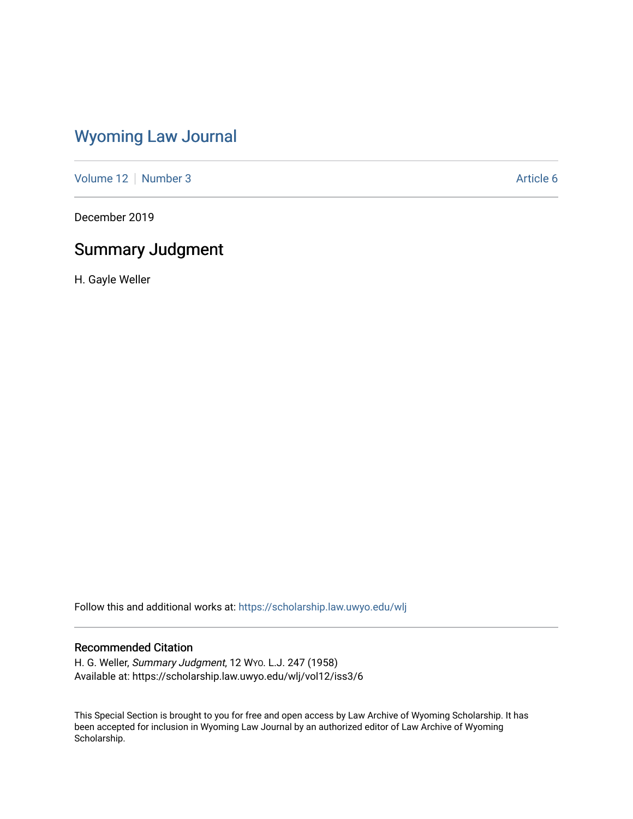## [Wyoming Law Journal](https://scholarship.law.uwyo.edu/wlj)

[Volume 12](https://scholarship.law.uwyo.edu/wlj/vol12) | [Number 3](https://scholarship.law.uwyo.edu/wlj/vol12/iss3) Article 6

December 2019

# Summary Judgment

H. Gayle Weller

Follow this and additional works at: [https://scholarship.law.uwyo.edu/wlj](https://scholarship.law.uwyo.edu/wlj?utm_source=scholarship.law.uwyo.edu%2Fwlj%2Fvol12%2Fiss3%2F6&utm_medium=PDF&utm_campaign=PDFCoverPages) 

## Recommended Citation

H. G. Weller, Summary Judgment, 12 WYO. L.J. 247 (1958) Available at: https://scholarship.law.uwyo.edu/wlj/vol12/iss3/6

This Special Section is brought to you for free and open access by Law Archive of Wyoming Scholarship. It has been accepted for inclusion in Wyoming Law Journal by an authorized editor of Law Archive of Wyoming Scholarship.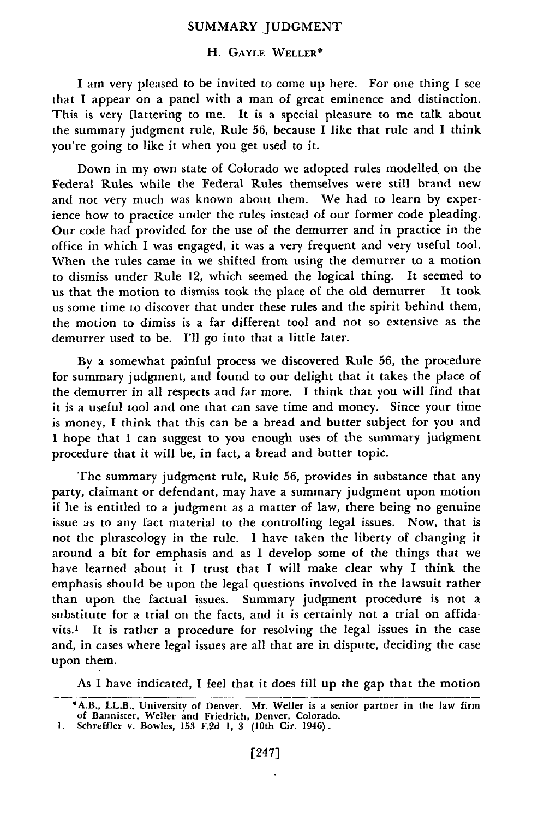### SUMMARY JUDGMENT

#### H. GAYLE WELLER<sup>®</sup>

I am very pleased to be invited to come up here. For one thing I see that I appear on a panel with a man of great eminence and distinction. This is very flattering to me. It is a special pleasure to me talk about the summary judgment rule, Rule **56,** because I like that rule and I think you're going to like it when you get used to it.

Down in my own state of Colorado we adopted rules modelled on the Federal Rules while the Federal Rules themselves were still brand new and not very much was known about them. We had to learn by experience how to practice under the rules instead of our former code pleading. Our code had provided for the use of the demurrer and in practice in the office in which I was engaged, it was a very frequent and very useful tool. When the rules came in we shifted from using the demurrer to a motion to dismiss under Rule 12, which seemed the logical thing. It seemed to us that the motion to dismiss took the place of the old demurrer It took us some time to discover that under these rules and the spirit behind them, the motion to dimiss is a far different tool and not so extensive as the demurrer used to be. I'll go into that a little later.

By a somewhat painful process we discovered Rule 56, the procedure for summary judgment, and found to our delight that it takes the place of the demurrer in all respects and far more. I think that you will find that it is a useful tool and one that can save time and money. Since your time is money, I think that this can be a bread and butter subject for you and **I** hope that **I** can suggest to you enough uses of the summary judgment procedure that it will be, in fact, a bread and butter topic.

The summary judgment rule, Rule **56,** provides in substance that any party, claimant or defendant, may have a summary judgment upon motion if he is entitled to a judgment as a matter of law, there being no genuine issue as to any fact material to the controlling legal issues. Now, that is not the phraseology in the rule. **I** have taken the liberty of changing it around a bit for emphasis and as I develop some of the things that we have learned about it I trust that I will make clear why I think the emphasis should be upon the legal questions involved in the lawsuit rather than upon the factual issues. Summary judgment procedure is not a substitute for a trial on the facts, and it is certainly not a trial on affidavits.1 It is rather a procedure for resolving the legal issues in the case and, in cases where legal issues are all that are in dispute, deciding the case upon them.

As I have indicated, I feel that it does fill up the gap that the motion

<sup>\*</sup>A.B., LL.B., University of Denver. Mr. Weller is a senior partner in the law firm of Bannister, Weller and Friedrich, Denver, Colorado. **1.** Schreffler v. Bowles, **153** F.2d **1, 3** (10th Cir. 1946).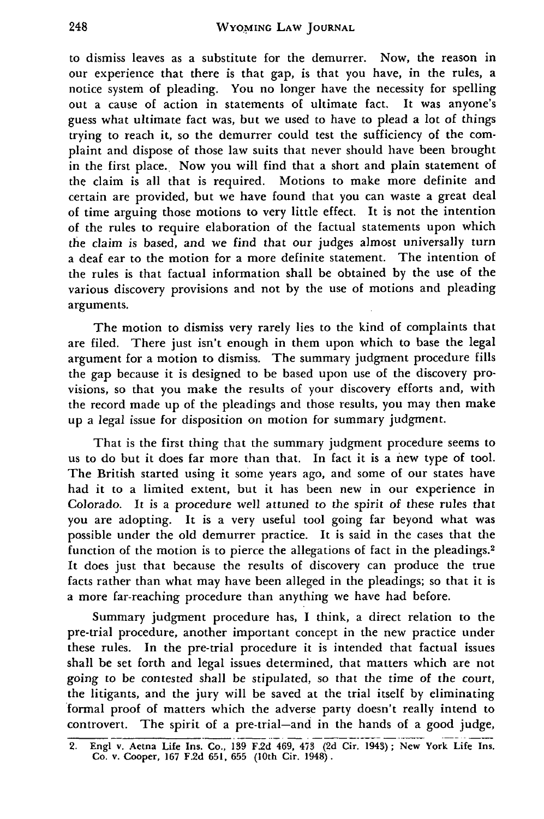to dismiss leaves as a substitute for the demurrer. Now, the reason in our experience that there is that gap, is that you have, in the rules, a notice system of pleading. You no longer have the necessity for spelling out a cause of action in statements of ultimate fact. It was anyone's guess what ultimate fact was, but we used to have to plead a lot of things trying to reach it, so the demurrer could test the sufficiency of the complaint and dispose of those law suits that never should have been brought in the first place. Now you will find that a short and plain statement of the claim is all that is required. Motions to make more definite and certain are provided, but we have found that you can waste a great deal of time arguing those motions to very little effect. It is not the intention of the rules to require elaboration of the factual statements upon which the claim is based, and we find that our judges almost universally turn a deaf ear to the motion for a more definite statement. The intention of the rules is that factual information shall be obtained by the use of the various discovery provisions and not by the use of motions and pleading arguments.

The motion to dismiss very rarely lies to the kind of complaints that are filed. There just isn't enough in them upon which to base the legal argument for a motion to dismiss. The summary judgment procedure fills the gap because it is designed to be based upon use of the discovery provisions, so that you make the results of your discovery efforts and, with the record made up of the pleadings and those results, you may then make up a legal issue for disposition on motion for summary judgment.

That is the first thing that the summary judgment procedure seems to us to do but it does far more than that. In fact it is a new type of tool. The British started using it some years ago, and some of our states have had it to a limited extent, but it has been new in our experience in Colorado. It is a procedure well attuned to the spirit of these rules that you are adopting. It is a very useful tool going far beyond what was possible under the old demurrer practice. It is said in the cases that the function of the motion is to pierce the allegations of fact in the pleadings.<sup>2</sup> It does just that because the results of discovery can produce the true facts rather than what may have been alleged in the pleadings; so that it is a more far-reaching procedure than anything we have had before.

Summary judgment procedure has, I think, a direct relation to the pre-trial procedure, another important concept in the new practice under these rules. In the pre-trial procedure it is intended that factual issues shall be set forth and legal issues determined, that matters which are not going to be contested shall be stipulated, so that the time of the court, the litigants, and the jury will be saved at the trial itself by eliminating formal proof of matters which the adverse party doesn't really intend to controvert. The spirit of a pre-trial-and in the hands of a good judge,

**<sup>2.</sup> EngI v. Aetna Life** Ins. **Co., 139 F.2d 469, 473 (2d Cir. 1943); New York Life Ins. Co. v. Cooper, 167 F.2d 651, 655 (10th Cir. 1948).**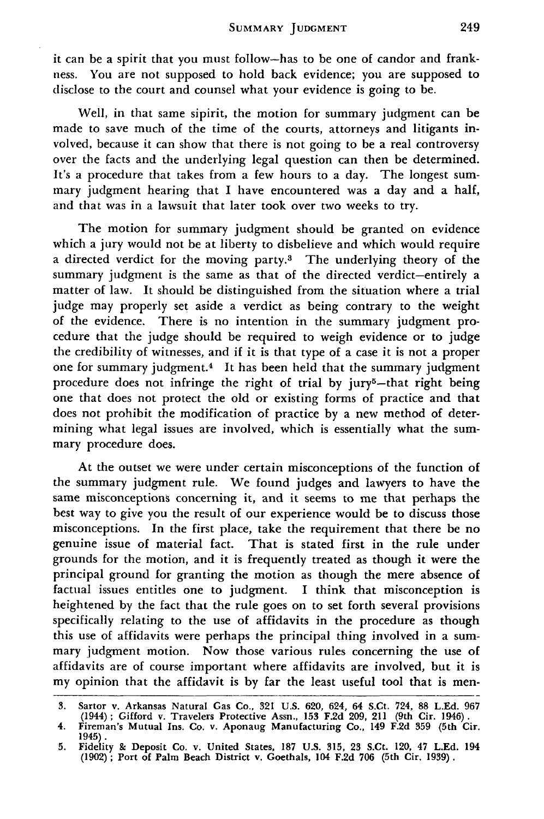SUMMARY **JUDGMENT**

it can be a spirit that you must follow-has to be one of candor and frankness. You are not supposed to hold back evidence; you are supposed to disclose to the court and counsel what your evidence is going to be.

Well, in that same sipirit, the motion for summary judgment can be made to save much of the time of the courts, attorneys and litigants involved, because it can show that there is not going to be a real controversy over the facts and the underlying legal question can then be determined. It's a procedure that takes from a few hours to a day. The longest summary judgment hearing that I have encountered was a day and a half, and that was in a lawsuit that later took over two weeks to try.

The motion for summary judgment should be granted on evidence which a jury would not be at liberty to disbelieve and which would require a directed verdict for the moving party.3 The underlying theory of the summary judgment is the same as that of the directed verdict-entirely a matter of law. It should be distinguished from the situation where a trial judge may properly set aside a verdict as being contrary to the weight of the evidence. There is no intention in the summary judgment procedure that the judge should be required to weigh evidence or to judge the credibility of witnesses, and if it is that type of a case it is not a proper one for summary judgment.4 It has been held that the summary judgment procedure does not infringe the right of trial by jury<sup>5</sup>-that right being one that does not protect the old or existing forms of practice and that does not prohibit the modification of practice by a new method of determining what legal issues are involved, which is essentially what the summary procedure does.

At the outset we were under certain misconceptions of the function of the summary judgment rule. We found judges and lawyers to have the same misconceptions concerning it, and it seems to me that perhaps the best way to give you the result of our experience would be to discuss those misconceptions. In the first place, take the requirement that there be no genuine issue of material fact. That is stated first in the rule under grounds for the motion, and it is frequently treated as though it were the principal ground for granting the motion as though the mere absence of factual issues entitles one to judgment. **I** think that misconception is heightened by the fact that the rule goes on to set forth several provisions specifically relating to the use of affidavits in the procedure as though this use of affidavits were perhaps the principal thing involved in a summary judgment motion. Now those various rules concerning the use of affidavits are of course important where affidavits are involved, but it is my opinion that the affidavit is by far the least useful tool that is men-

**<sup>3.</sup>** Sartor v. Arkansas Natural Gas Co., **321** U.S. **620,** 624, 64 S.Ct. 724, **88 L.Ed. 967** (1944); Gifford v. Travelers Protective Assn., **153 F.2d** 209, 211 (9th Cir. 1946).

<sup>4.</sup> Fireman's Mutual Ins. Co. v. Aponaug Manufacturing Co., 149 **F.2d 359** (5th Cir. 1945).

<sup>5.</sup> Fidelity & Deposit Co. v. United States, **187** U.S. 315, **23** S.Ct. 120, 47 L.Ed. 194 (1902) ; Port of Palm Beach District v. Goethals, 104 F.2d **706** (5th Cir. 1939).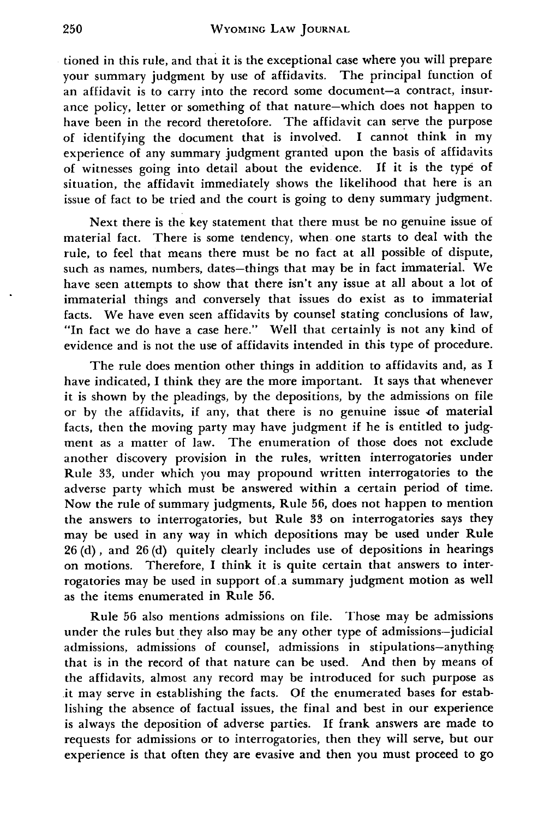tioned in this rule, and that it is the exceptional case where you will prepare your summary judgment by use of affidavits. The principal function of an affidavit is to carry into the record some document-a contract, insurance policy, letter or something of that nature-which does not happen to have been in the record theretofore. The affidavit can serve the purpose of identifying the document that is involved. I cannot think in my experience of any summary judgment granted upon the basis of affidavits of witnesses going into detail about the evidence. If it is the type of situation, the affidavit immediately shows the likelihood that here is an issue of fact to be tried and the court is going to deny summary judgment.

Next there is the key statement that there must be no genuine issue of material fact. There is some tendency, when one starts to deal with the rule, to feel that means there must be no fact at all possible of dispute, such as names, numbers, dates-things that may be in fact immaterial. We have seen attempts to show that there isn't any issue at all about a lot of immaterial things and conversely that issues do exist as to immaterial facts. We have even seen affidavits by counsel stating conclusions of law, "In fact we do have a case here." Well that certainly is not any kind of evidence and is not the use of affidavits intended in this type of procedure.

The rule does mention other things in addition to affidavits and, as **I** have indicated, **I** think they are the more important. It says that whenever it is shown by the pleadings, by the depositions, by the admissions on file or by the affidavits, if any, that there is no genuine issue **of** material facts, then the moving party may have judgment if he is entitled to judgment as a matter of law. The enumeration of those does not exclude another discovery provision in the rules, written interrogatories under Rule 33, under which you may propound written interrogatories to the adverse party which must be answered within a certain period of time. Now the rule of summary judgments, Rule 56, does not happen to mention the answers to interrogatories, but Rule 33 on interrogatories says they may be used in any way in which depositions may be used under Rule 26 (d), and 26 (d) quitely clearly includes use of depositions in hearings on motions. Therefore, I think it is quite certain that answers to interrogatories may be used in support of.a summary judgment motion as well as the items enumerated in Rule 56.

Rule 56 also mentions admissions on file. Those may be admissions under the rules but they also may be any other type of admissions-judicial admissions, admissions of counsel, admissions in stipulations-anything that is in the record of that nature can be used. And then by means of the affidavits, almost any record may be introduced for such purpose as it may serve in establishing the facts. **Of** the enumerated bases for establishing the absence of factual issues, the final and best in our experience is always the deposition of adverse parties. If frank answers are made to requests for admissions or to interrogatories, then they will serve, but our experience is that often they are evasive and then you must proceed to go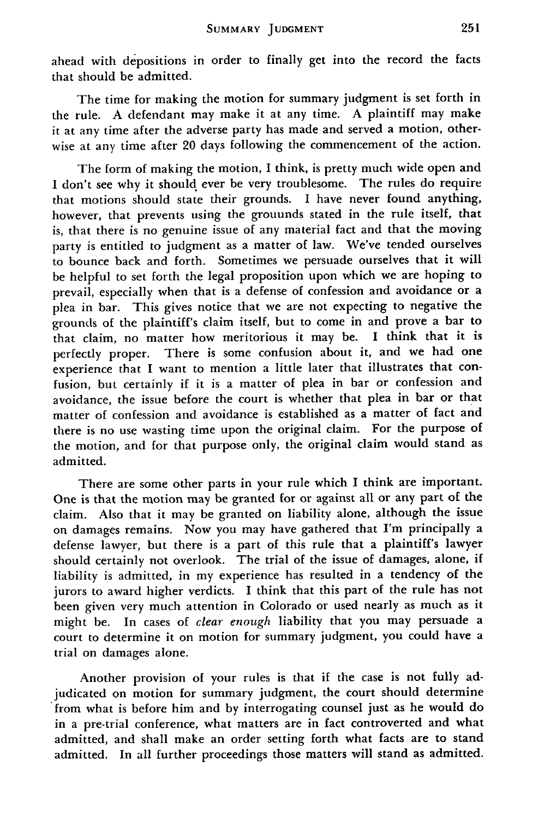ahead with depositions in order to finally get into the record the facts that should be admitted.

The time for making the motion for summary judgment is set forth in the rule. A defendant may make it at any time. A plaintiff may make it at any time after the adverse party has made and served a motion, otherwise at any time after 20 days following the commencement of the action.

The form of making the motion, **I** think, is pretty much wide open and **I** don't see why it should, ever be very troublesome. The rules do require that motions should state their grounds. **I** have never found anything, however, that prevents using the grouunds stated in the rule itself, that is, that there is no genuine issue of any material fact and that the moving party is entitled to judgment as a matter of law. We've tended ourselves to bounce back and forth. Sometimes we persuade ourselves that it will be helpful to set forth the legal proposition upon which we are hoping to prevail, especially when that is a defense of confession and avoidance or a plea in bar. This gives notice that we are not expecting to negative the grounds of the plaintiff's claim itself, but to come in and prove a bar to that claim, no matter how meritorious it may be. **I** think that it is perfectly proper. There is some confusion about it, and we had one experience that I want to mention a little later that illustrates that confusion, but certainly if it is a matter of plea in bar or confession and avoidance, the issue before the court is whether that plea in bar or that matter of confession and avoidance is established as a matter of fact and there is no use wasting time upon the original claim. For the purpose of the motion, and for that purpose only, the original claim would stand as admitted.

There are some other parts in your rule which I think are important. One is that the motion may be granted for or against all or any part of the claim. Also that it may be granted on liability alone, although the issue on damages remains. Now you may have gathered that I'm principally a defense lawyer, but there is a part of this rule that a plaintiff's lawyer should certainly not overlook. The trial of the issue of damages, alone, if liability is admitted, in my experience has resulted in a tendency of the jurors to award higher verdicts. I think that this part of the rule has not been given very much attention in Colorado or used nearly as much as it might be. In cases of *clear enough* liability that you may persuade a court to determine it on motion for summary judgment, you could have a trial on damages alone.

Another provision of your rules is that if the case is not fully adjudicated on motion for summary judgment, the court should determine from what is before him and by interrogating counsel just as he would do in a pre-trial conference, what matters are in fact controverted and what admitted, and shall make an order setting forth what facts are to stand admitted. In all further proceedings those matters will stand as admitted.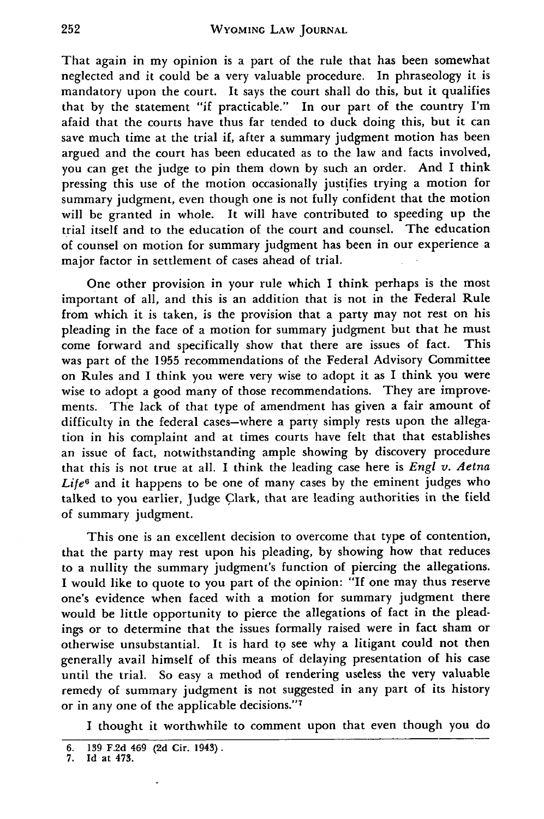That again in my opinion is a part of the rule that has been somewhat neglected and it could be a very valuable procedure. In phraseology it is mandatory upon the court. It says the court shall do this, but it qualifies that by the statement "if practicable." In our part of the country I'm afaid that the courts have thus far tended to duck doing this, but it can save much time at the trial if, after a summary judgment motion has been argued and the court has been educated as to the law and facts involved, you can get the judge to pin them down by such an order. And I think pressing this use of the motion occasionally justifies trying a motion for summary judgment, even though one is not fully confident that the motion will be granted in whole. It will have contributed to speeding up the trial itself and to the education of the court and counsel. The education of counsel on motion for summary judgment has been in our experience a major factor in settlement of cases ahead of trial.

One other provision in your rule which I think perhaps is the most important of all, and this is an addition that is not in the Federal Rule from which it is taken, is the provision that a party may not rest on his pleading in the face of a motion for summary judgment but that he must come forward and specifically show that there are issues of fact. This was part of the 1955 recommendations of the Federal Advisory Committee on Rules and I think you were very wise to adopt it as I think you were wise to adopt a good many of those recommendations. They are improvements. The lack of that type of amendment has given a fair amount of difficulty in the federal cases-where a party simply rests upon the allegation in his complaint and at times courts have felt that that establishes an issue of fact, notwithstanding ample showing by discovery procedure that this is not true at all. I think the leading case here is *Engl v. Aetna Life6* and it happens to be one of many cases by the eminent judges who talked to you earlier, Judge Clark, that are leading authorities in the field of summary judgment.

This one is an excellent decision to overcome that type of contention, that the party may rest upon his pleading, by showing how that reduces to a nullity the summary judgment's function of piercing the allegations. I would like to quote to you part of the opinion: "If one may thus reserve one's evidence when faced with a motion for summary judgment there would be little opportunity to pierce the allegations of fact in the pleadings or to determine that the issues formally raised were in fact sham or otherwise unsubstantial. It is hard to see why a litigant could not then generally avail himself of this means of delaying presentation of his case until the trial. So easy a method of rendering useless the very valuable remedy of summary judgment is not suggested in any part of its history or in any one of the applicable decisions."<sup>7</sup>

I thought it worthwhile to comment upon that even though you do

 $\cdot$ 

**<sup>6.</sup> 139 F.2d 469 (2d Cir. 1943).**

**<sup>7.</sup> Id at 473.**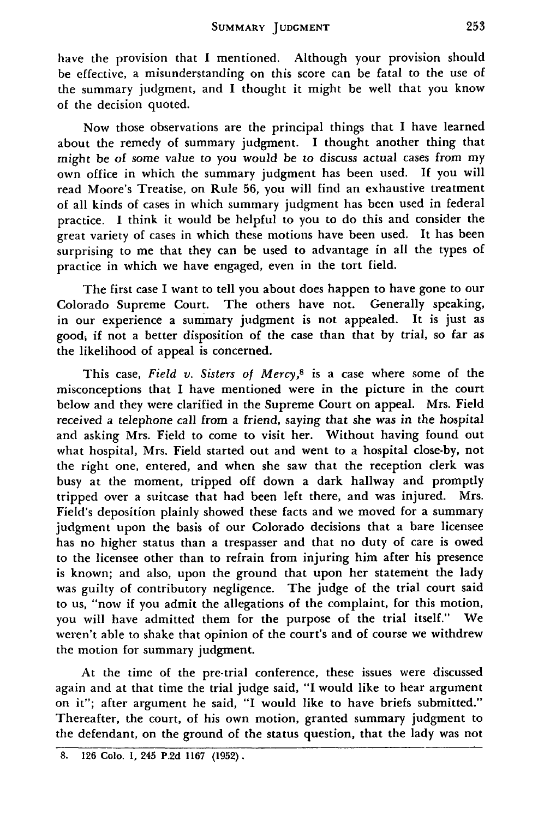have the provision that I mentioned. Although your provision should be effective, a misunderstanding on this score can be fatal to the use of the summary judgment, and I thought it might be well that you know of the decision quoted.

Now those observations are the principal things that I have learned about the remedy of summary judgment. I thought another thing that might be of some value to you would be to discuss actual cases from my own office in which the summary judgment has been used. **If** you will read Moore's Treatise, on Rule 56, you will find an exhaustive treatment of all kinds of cases in which summary judgment has been used in federal practice. I think it would be helpful to you to do this and consider the great variety of cases in which these motions have been used. It has been surprising to me that they can be used to advantage in all the types of practice in which we have engaged, even in the tort field.

The first case I want to tell you about does happen to have gone to our Colorado Supreme Court. The others have not. Generally speaking, in our experience a summary judgment is not appealed. It is just as good, if not a better disposition of the case than that by trial, so far as the likelihood of appeal is concerned.

This case, *Field v. Sisters of Mercy,8* is a case where some of the misconceptions that I have mentioned were in the picture in the court below and they were clarified in the Supreme Court on appeal. Mrs. Field received a telephone call from a friend, saying that she was in the hospital and asking Mrs. Field to come to visit her. Without having found out what hospital, Mrs. Field started out and went to a hospital close-by, not the right one, entered, and when she saw that the reception clerk was busy at the moment, tripped off down a dark hallway and promptly tripped over a suitcase that had been left there, and was injured. Mrs. Field's deposition plainly showed these facts and we moved for a summary judgment upon the basis of our Colorado decisions that a bare licensee has no higher status than a trespasser and that no duty of care is owed to the licensee other than to refrain from injuring him after his presence is known; and also, upon the ground that upon her statement the lady was guilty of contributory negligence. The judge of the trial court said to us, "now if you admit the allegations of the complaint, for this motion, you will have admitted them for the purpose of the trial itself." We weren't able to shake that opinion of the court's and of course we withdrew the motion for summary judgment.

At the time of the pre-trial conference, these issues were discussed again and at that time the trial judge said, **"I** would like to hear argument on it"; after argument he said, **"I** would like to have briefs submitted." Thereafter, the court, of his own motion, granted summary judgment to the defendant, on the ground of the status question, that the lady was not

**<sup>8. 126</sup> Colo. 1,** 245 **P.2d 1167 (1952).**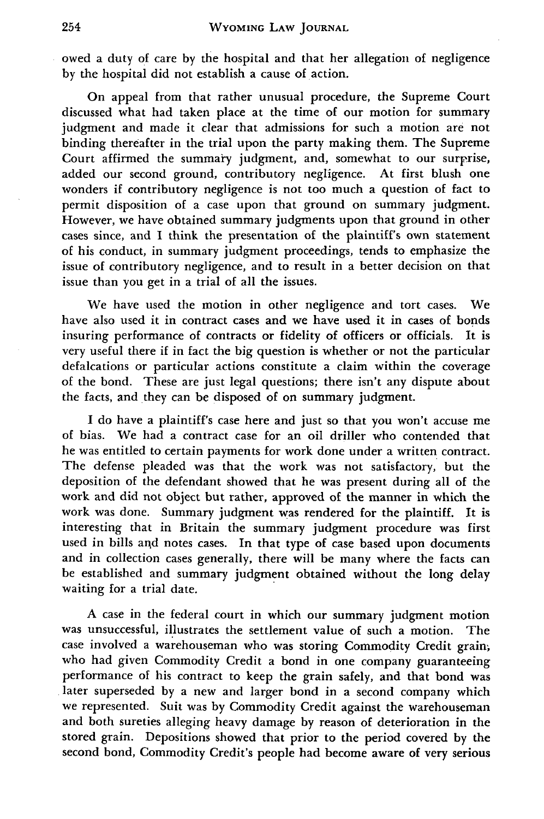owed a duty of care **by** the hospital and that her allegation of negligence **by** the hospital did not establish a cause of action.

On appeal from that rather unusual procedure, the Supreme Court discussed what had taken place at the time of our motion for summary judgment and made it clear that admissions for such a motion are not binding thereafter in the trial upon the party making them. The Supreme Court affirmed the summary judgment, and, somewhat to our surprise, added our second ground, contributory negligence. At first blush one wonders if contributory negligence is not too much a question of fact to permit disposition of a case upon that ground on summary judgment. However, we have obtained summary judgments upon that ground in other cases since, and **I** think the presentation of the plaintiff's own statement of his conduct, in summary judgment proceedings, tends to emphasize the issue of contributory negligence, and to result in a better decision on that issue than you get in a trial of all the issues.

We have used the motion in other negligence and tort cases. We have also used it in contract cases and we have used it in cases of bonds insuring performance of contracts or fidelity of officers or officials. It is very useful there if in fact the big question is whether or not the particular defalcations or particular actions constitute a claim within the coverage of the bond. These are just legal questions; there isn't any dispute about the facts, and they can be disposed of on summary judgment.

**I** do have a plaintiff's case here and just so that you won't accuse me of bias. We had a contract case for an oil driller who contended that he was entitled to certain payments for work done under a written contract. The defense pleaded was that the work was not satisfactory, but the deposition of the defendant showed that he was present during all of the work and did not object but rather, approved of the manner in which the work was done. Summary judgment was rendered for the plaintiff. It is interesting that in Britain the summary judgment procedure was first used in bills **and** notes cases. In that type of case based upon documents and in collection cases generally, there will be many where the facts can be established and summary judgment obtained without the long delay waiting for a trial date.

**A** case in the federal court in which our summary judgment motion was unsuccessful, illustrates the settlement value of such a motion. The case involved a warehouseman who was storing Commodity Credit grain, who had given Commodity Credit a bond in one company guaranteeing performance of his contract to keep the grain safely, and that bond was .later superseded **by** a new and larger bond in a second company which we represented. Suit was **by** Commodity Credit against the warehouseman and both sureties alleging heavy damage **by** reason of deterioration in the stored grain. Depositions showed that prior to the period covered **by** the second bond, Commodity Credit's people had become aware of very serious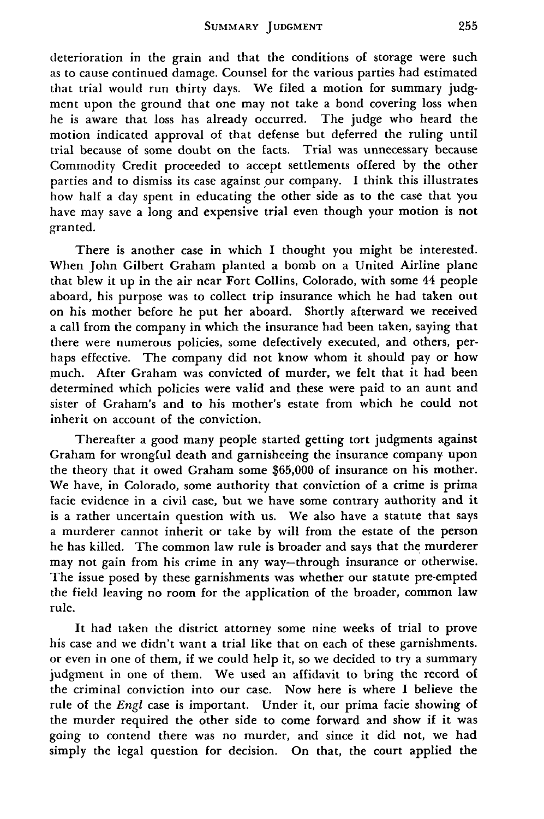deterioration in the grain and that the conditions of storage were such as to cause continued damage. Counsel for the various parties had estimated that trial would run thirty days. We filed a motion for summary judgment upon the ground that one may not take a bond covering loss when he is aware that loss has already occurred. The judge who heard the motion indicated approval of that defense but deferred the ruling until trial because of some doubt on the facts. Trial was unnecessary because Commodity Credit proceeded to accept settlements offered by the other parties and to dismiss its case against our company. I think this illustrates how half a day spent in educating the other side as to the case that you have may save a long and expensive trial even though your motion is not granted.

There is another case in which I thought you might be interested. When John Gilbert Graham planted a bomb on a United Airline plane that blew it up in the air near Fort Collins, Colorado, with some 44 people aboard, his purpose was to collect trip insurance which he had taken out on his mother before he put her aboard. Shortly afterward we received a call from the company in which the insurance had been taken, saying that there were numerous policies, some defectively executed, and others, perhaps effective. The company did not know whom it should pay or how much. After Graham was convicted of murder, we felt that it had been determined which policies were valid and these were paid to an aunt and sister of Graham's and to his mother's estate from which he could not inherit on account of the conviction.

Thereafter a good many people started getting tort judgments against Graham for wrongful death and garnisheeing the insurance company upon the theory that it owed Graham some \$65,000 of insurance on his mother. We have, in Colorado, some authority that conviction of a crime is prima facie evidence in a civil case, but we have some contrary authority and it is a rather uncertain question with us. We also have a statute that says a murderer cannot inherit or take by will from the estate of the person he has killed. The common law rule is broader and says that the murderer may not gain from his crime in any way-through insurance or otherwise. The issue posed by these garnishments was whether our statute pre-empted the field leaving no room for the application of the broader, common law rule.

It had taken the district attorney some nine weeks of trial to prove his case and we didn't want a trial like that on each of these garnishments. or even in one of them, if we could help it, so we decided to try a summary judgment in one of them. We used an affidavit to bring the record of the criminal conviction into our case. Now here is where I believe the rule of the *Engl* case is important. Under it, our prima facie showing of the murder required the other side to come forward and show if it was going to contend there was no murder, and since it did not, we had simply the legal question for decision. On that, the court applied the